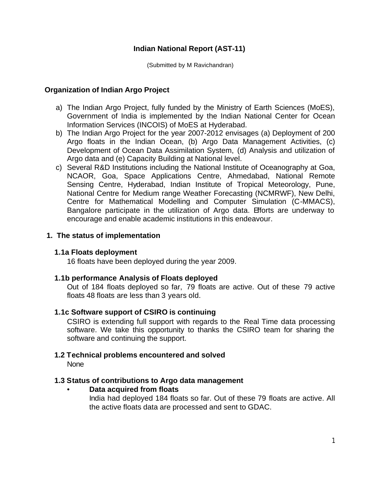### **Indian National Report (AST-11)**

(Submitted by M Ravichandran)

### **Organization of Indian Argo Project**

- a) The Indian Argo Project, fully funded by the Ministry of Earth Sciences (MoES), Government of India is implemented by the Indian National Center for Ocean Information Services (INCOIS) of MoES at Hyderabad.
- b) The Indian Argo Project for the year 2007-2012 envisages (a) Deployment of 200 Argo floats in the Indian Ocean, (b) Argo Data Management Activities, (c) Development of Ocean Data Assimilation System, (d) Analysis and utilization of Argo data and (e) Capacity Building at National level.
- c) Several R&D Institutions including the National Institute of Oceanography at Goa, NCAOR, Goa, Space Applications Centre, Ahmedabad, National Remote Sensing Centre, Hyderabad, Indian Institute of Tropical Meteorology, Pune, National Centre for Medium range Weather Forecasting (NCMRWF), New Delhi, Centre for Mathematical Modelling and Computer Simulation (C-MMACS), Bangalore participate in the utilization of Argo data. Efforts are underway to encourage and enable academic institutions in this endeavour.

### **1. The status of implementation**

### **1.1a Floats deployment**

16 floats have been deployed during the year 2009.

### **1.1b performance Analysis of Floats deployed**

Out of 184 floats deployed so far, 79 floats are active. Out of these 79 active floats 48 floats are less than 3 years old.

### **1.1c Software support of CSIRO is continuing**

CSIRO is extending full support with regards to the Real Time data processing software. We take this opportunity to thanks the CSIRO team for sharing the software and continuing the support.

### **1.2 Technical problems encountered and solved**

None

### **1.3 Status of contributions to Argo data management**

### • **Data acquired from floats**

India had deployed 184 floats so far. Out of these 79 floats are active. All the active floats data are processed and sent to GDAC.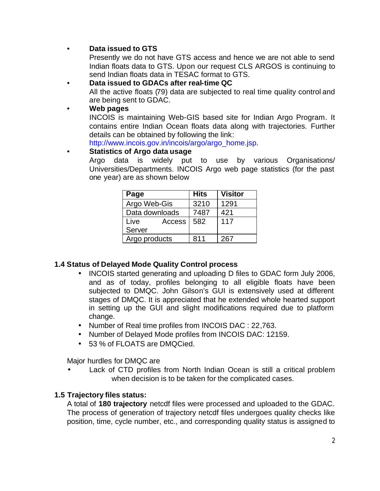# • **Data issued to GTS**

Presently we do not have GTS access and hence we are not able to send Indian floats data to GTS. Upon our request CLS ARGOS is continuing to send Indian floats data in TESAC format to GTS.

# • **Data issued to GDACs after real-time QC**

All the active floats (79) data are subjected to real time quality control and are being sent to GDAC.

### • **Web pages**

INCOIS is maintaining Web-GIS based site for Indian Argo Program. It contains entire Indian Ocean floats data along with trajectories. Further details can be obtained by following the link:

http://www.incois.gov.in/incois/argo/argo\_home.jsp.

### • **Statistics of Argo data usage**

Argo data is widely put to use by various Organisations/ Universities/Departments. INCOIS Argo web page statistics (for the past one year) are as shown below

| Page           | <b>Hits</b> | <b>Visitor</b> |
|----------------|-------------|----------------|
| Argo Web-Gis   | 3210        | 1291           |
| Data downloads | 7487        | 421            |
| Live<br>Access | 582         | 117            |
| Server         |             |                |
| Argo products  | 811         | 267            |

# **1.4 Status of Delayed Mode Quality Control process**

- INCOIS started generating and uploading D files to GDAC form July 2006, and as of today, profiles belonging to all eligible floats have been subjected to DMQC. John Gilson's GUI is extensively used at different stages of DMQC. It is appreciated that he extended whole hearted support in setting up the GUI and slight modifications required due to platform change.
- Number of Real time profiles from INCOIS DAC : 22,763.
- Number of Delayed Mode profiles from INCOIS DAC: 12159.
- 53 % of FLOATS are DMQCied.

Major hurdles for DMQC are

Lack of CTD profiles from North Indian Ocean is still a critical problem when decision is to be taken for the complicated cases.

### **1.5 Trajectory files status:**

A total of **180 trajectory** netcdf files were processed and uploaded to the GDAC. The process of generation of trajectory netcdf files undergoes quality checks like position, time, cycle number, etc., and corresponding quality status is assigned to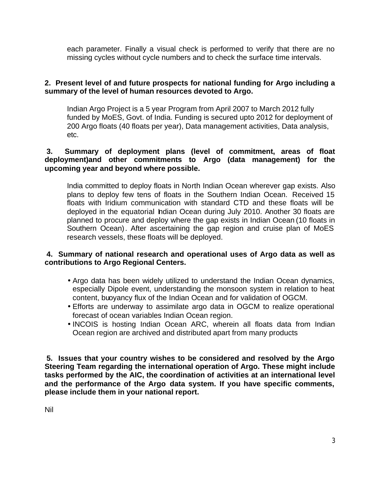each parameter. Finally a visual check is performed to verify that there are no missing cycles without cycle numbers and to check the surface time intervals.

### **2. Present level of and future prospects for national funding for Argo including a summary of the level of human resources devoted to Argo.**

Indian Argo Project is a 5 year Program from April 2007 to March 2012 fully funded by MoES, Govt. of India. Funding is secured upto 2012 for deployment of 200 Argo floats (40 floats per year), Data management activities, Data analysis, etc.

### **3. Summary of deployment plans (level of commitment, areas of float deployment)and other commitments to Argo (data management) for the upcoming year and beyond where possible.**

India committed to deploy floats in North Indian Ocean wherever gap exists. Also plans to deploy few tens of floats in the Southern Indian Ocean. Received 15 floats with Iridium communication with standard CTD and these floats will be deployed in the equatorial Indian Ocean during July 2010. Another 30 floats are planned to procure and deploy where the gap exists in Indian Ocean (10 floats in Southern Ocean). After ascertaining the gap region and cruise plan of MoES research vessels, these floats will be deployed.

### **4. Summary of national research and operational uses of Argo data as well as contributions to Argo Regional Centers.**

- Argo data has been widely utilized to understand the Indian Ocean dynamics, especially Dipole event, understanding the monsoon system in relation to heat content, buoyancy flux of the Indian Ocean and for validation of OGCM.
- Efforts are underway to assimilate argo data in OGCM to realize operational forecast of ocean variables Indian Ocean region.
- INCOIS is hosting Indian Ocean ARC, wherein all floats data from Indian Ocean region are archived and distributed apart from many products

**5. Issues that your country wishes to be considered and resolved by the Argo Steering Team regarding the international operation of Argo. These might include tasks performed by the AIC, the coordination of activities at an international level and the performance of the Argo data system. If you have specific comments, please include them in your national report.**